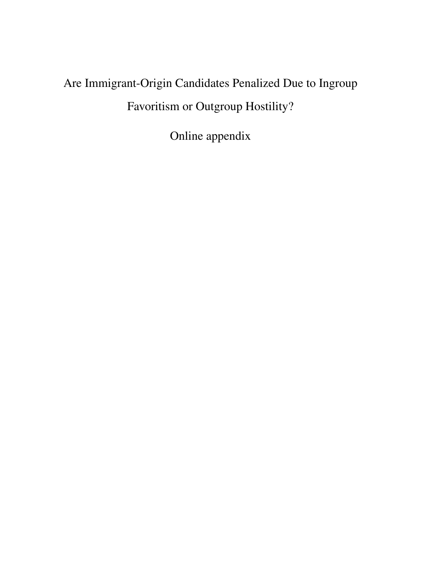# Are Immigrant-Origin Candidates Penalized Due to Ingroup Favoritism or Outgroup Hostility?

Online appendix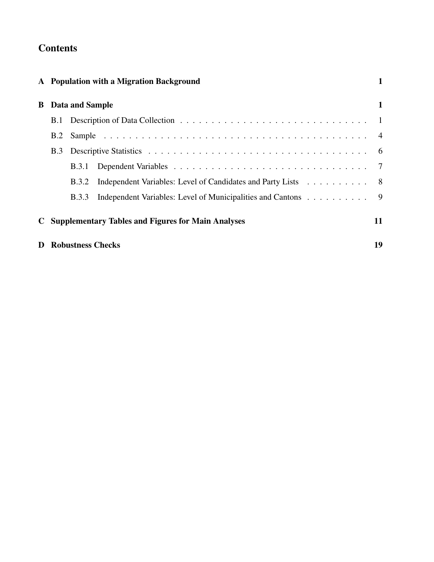# **Contents**

|            |                          | A Population with a Migration Background                     | $\mathbf{1}$ |
|------------|--------------------------|--------------------------------------------------------------|--------------|
|            | <b>B</b> Data and Sample |                                                              | 1            |
|            |                          |                                                              |              |
| B.2        |                          |                                                              |              |
| <b>B.3</b> |                          |                                                              |              |
|            | <b>B.3.1</b>             |                                                              |              |
|            | <b>B.3.2</b>             | Independent Variables: Level of Candidates and Party Lists 8 |              |
|            | <b>B.3.3</b>             | Independent Variables: Level of Municipalities and Cantons 9 |              |
|            |                          | <b>C</b> Supplementary Tables and Figures for Main Analyses  | 11           |
|            |                          | <b>D</b> Robustness Checks                                   | 19           |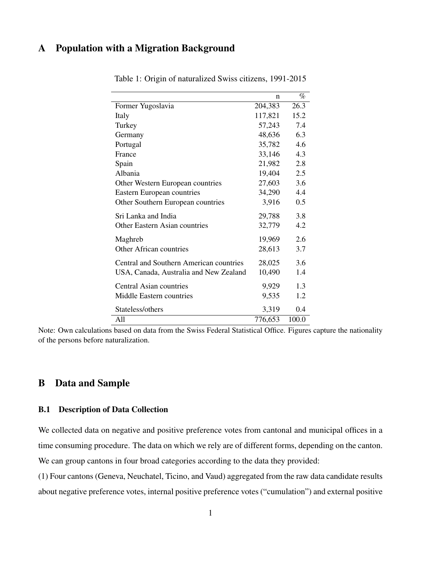# <span id="page-2-0"></span>A Population with a Migration Background

|                                         | n       | $\%$  |
|-----------------------------------------|---------|-------|
| Former Yugoslavia                       | 204,383 | 26.3  |
| Italy                                   | 117,821 | 15.2  |
| Turkey                                  | 57,243  | 7.4   |
| Germany                                 | 48,636  | 6.3   |
| Portugal                                | 35,782  | 4.6   |
| France                                  | 33,146  | 4.3   |
| Spain                                   | 21,982  | 2.8   |
| Albania                                 | 19,404  | 2.5   |
| Other Western European countries        | 27,603  | 3.6   |
| Eastern European countries              | 34,290  | 4.4   |
| Other Southern European countries       | 3,916   | 0.5   |
| Sri Lanka and India                     | 29,788  | 3.8   |
| Other Eastern Asian countries           | 32,779  | 4.2   |
| Maghreb                                 | 19,969  | 2.6   |
| Other African countries                 | 28,613  | 3.7   |
| Central and Southern American countries | 28,025  | 3.6   |
| USA, Canada, Australia and New Zealand  | 10,490  | 1.4   |
| <b>Central Asian countries</b>          | 9,929   | 1.3   |
| Middle Eastern countries                | 9,535   | 1.2   |
| Stateless/others                        | 3,319   | 0.4   |
| All                                     | 776,653 | 100.0 |

Table 1: Origin of naturalized Swiss citizens, 1991-2015

Note: Own calculations based on data from the Swiss Federal Statistical Office. Figures capture the nationality of the persons before naturalization.

## <span id="page-2-1"></span>B Data and Sample

#### <span id="page-2-2"></span>B.1 Description of Data Collection

We collected data on negative and positive preference votes from cantonal and municipal offices in a time consuming procedure. The data on which we rely are of different forms, depending on the canton. We can group cantons in four broad categories according to the data they provided:

(1) Four cantons (Geneva, Neuchatel, Ticino, and Vaud) aggregated from the raw data candidate results about negative preference votes, internal positive preference votes ("cumulation") and external positive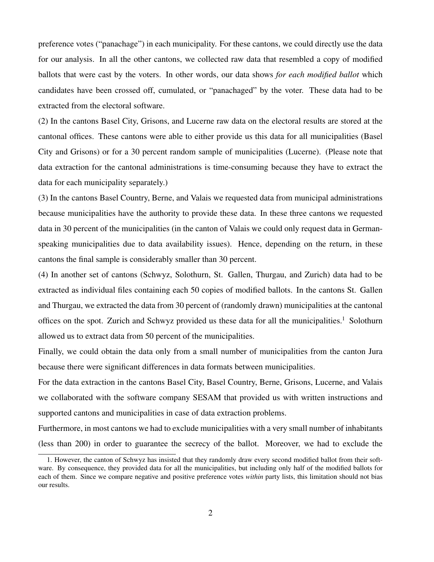preference votes ("panachage") in each municipality. For these cantons, we could directly use the data for our analysis. In all the other cantons, we collected raw data that resembled a copy of modified ballots that were cast by the voters. In other words, our data shows *for each modified ballot* which candidates have been crossed off, cumulated, or "panachaged" by the voter. These data had to be extracted from the electoral software.

(2) In the cantons Basel City, Grisons, and Lucerne raw data on the electoral results are stored at the cantonal offices. These cantons were able to either provide us this data for all municipalities (Basel City and Grisons) or for a 30 percent random sample of municipalities (Lucerne). (Please note that data extraction for the cantonal administrations is time-consuming because they have to extract the data for each municipality separately.)

(3) In the cantons Basel Country, Berne, and Valais we requested data from municipal administrations because municipalities have the authority to provide these data. In these three cantons we requested data in 30 percent of the municipalities (in the canton of Valais we could only request data in Germanspeaking municipalities due to data availability issues). Hence, depending on the return, in these cantons the final sample is considerably smaller than 30 percent.

(4) In another set of cantons (Schwyz, Solothurn, St. Gallen, Thurgau, and Zurich) data had to be extracted as individual files containing each 50 copies of modified ballots. In the cantons St. Gallen and Thurgau, we extracted the data from 30 percent of (randomly drawn) municipalities at the cantonal offices on the spot. Zurich and Schwyz provided us these data for all the municipalities.<sup>[1](#page-3-0)</sup> Solothurn allowed us to extract data from 50 percent of the municipalities.

Finally, we could obtain the data only from a small number of municipalities from the canton Jura because there were significant differences in data formats between municipalities.

For the data extraction in the cantons Basel City, Basel Country, Berne, Grisons, Lucerne, and Valais we collaborated with the software company SESAM that provided us with written instructions and supported cantons and municipalities in case of data extraction problems.

Furthermore, in most cantons we had to exclude municipalities with a very small number of inhabitants (less than 200) in order to guarantee the secrecy of the ballot. Moreover, we had to exclude the

<span id="page-3-0"></span><sup>1.</sup> However, the canton of Schwyz has insisted that they randomly draw every second modified ballot from their software. By consequence, they provided data for all the municipalities, but including only half of the modified ballots for each of them. Since we compare negative and positive preference votes *within* party lists, this limitation should not bias our results.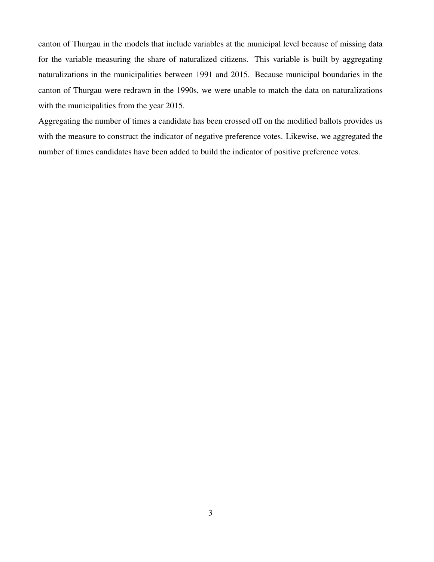canton of Thurgau in the models that include variables at the municipal level because of missing data for the variable measuring the share of naturalized citizens. This variable is built by aggregating naturalizations in the municipalities between 1991 and 2015. Because municipal boundaries in the canton of Thurgau were redrawn in the 1990s, we were unable to match the data on naturalizations with the municipalities from the year 2015.

Aggregating the number of times a candidate has been crossed off on the modified ballots provides us with the measure to construct the indicator of negative preference votes. Likewise, we aggregated the number of times candidates have been added to build the indicator of positive preference votes.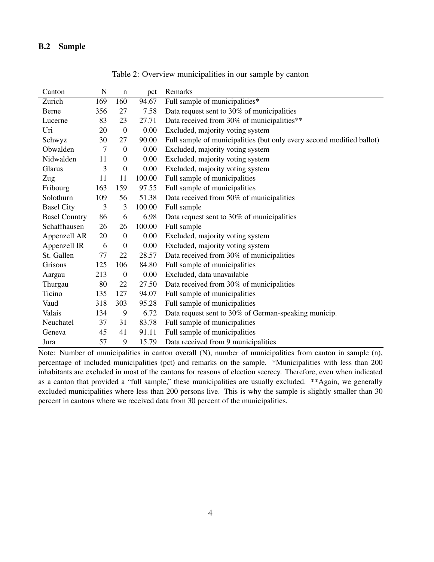#### <span id="page-5-0"></span>B.2 Sample

| Canton               | $\mathbf N$ | $\mathbf n$      | pct    | Remarks                                                               |
|----------------------|-------------|------------------|--------|-----------------------------------------------------------------------|
| Zurich               | 169         | 160              | 94.67  | Full sample of municipalities*                                        |
| Berne                | 356         | 27               | 7.58   | Data request sent to 30% of municipalities                            |
| Lucerne              | 83          | 23               | 27.71  | Data received from 30% of municipalities**                            |
| Uri                  | 20          | $\overline{0}$   | 0.00   | Excluded, majority voting system                                      |
| Schwyz               | 30          | 27               | 90.00  | Full sample of municipalities (but only every second modified ballot) |
| Obwalden             | 7           | $\boldsymbol{0}$ | 0.00   | Excluded, majority voting system                                      |
| Nidwalden            | 11          | $\boldsymbol{0}$ | 0.00   | Excluded, majority voting system                                      |
| Glarus               | 3           | $\boldsymbol{0}$ | 0.00   | Excluded, majority voting system                                      |
| Zug                  | 11          | 11               | 100.00 | Full sample of municipalities                                         |
| Fribourg             | 163         | 159              | 97.55  | Full sample of municipalities                                         |
| Solothurn            | 109         | 56               | 51.38  | Data received from 50% of municipalities                              |
| <b>Basel City</b>    | 3           | 3                | 100.00 | Full sample                                                           |
| <b>Basel Country</b> | 86          | 6                | 6.98   | Data request sent to 30% of municipalities                            |
| Schaffhausen         | 26          | 26               | 100.00 | Full sample                                                           |
| Appenzell AR         | 20          | $\boldsymbol{0}$ | 0.00   | Excluded, majority voting system                                      |
| Appenzell IR         | 6           | $\boldsymbol{0}$ | 0.00   | Excluded, majority voting system                                      |
| St. Gallen           | 77          | 22               | 28.57  | Data received from 30% of municipalities                              |
| Grisons              | 125         | 106              | 84.80  | Full sample of municipalities                                         |
| Aargau               | 213         | $\boldsymbol{0}$ | 0.00   | Excluded, data unavailable                                            |
| Thurgau              | 80          | 22               | 27.50  | Data received from 30% of municipalities                              |
| Ticino               | 135         | 127              | 94.07  | Full sample of municipalities                                         |
| Vaud                 | 318         | 303              | 95.28  | Full sample of municipalities                                         |
| Valais               | 134         | 9                | 6.72   | Data request sent to 30% of German-speaking municip.                  |
| Neuchatel            | 37          | 31               | 83.78  | Full sample of municipalities                                         |
| Geneva               | 45          | 41               | 91.11  | Full sample of municipalities                                         |
| Jura                 | 57          | 9                | 15.79  | Data received from 9 municipalities                                   |

Table 2: Overview municipalities in our sample by canton

Note: Number of municipalities in canton overall (N), number of municipalities from canton in sample (n), percentage of included municipalities (pct) and remarks on the sample. \*Municipalities with less than 200 inhabitants are excluded in most of the cantons for reasons of election secrecy. Therefore, even when indicated as a canton that provided a "full sample," these municipalities are usually excluded. \*\*Again, we generally excluded municipalities where less than 200 persons live. This is why the sample is slightly smaller than 30 percent in cantons where we received data from 30 percent of the municipalities.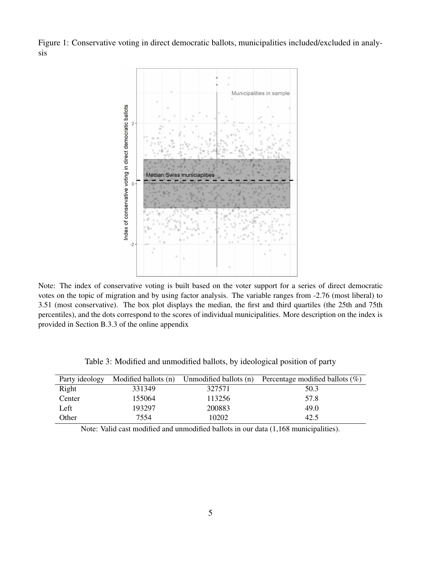Figure 1: Conservative voting in direct democratic ballots, municipalities included/excluded in analysis



Note: The index of conservative voting is built based on the voter support for a series of direct democratic votes on the topic of migration and by using factor analysis. The variable ranges from -2.76 (most liberal) to 3.51 (most conservative). The box plot displays the median, the first and third quartiles (the 25th and 75th percentiles), and the dots correspond to the scores of individual municipalities. More description on the index is provided in Section B.3.3 of the online appendix

| Party ideology | Modified ballots (n) | Unmodified ballots (n) | Percentage modified ballots $(\%)$ |
|----------------|----------------------|------------------------|------------------------------------|
| Right          | 331349               | 327571                 | 50.3                               |
| Center         | 155064               | 113256                 | 57.8                               |
| Left           | 193297               | 200883                 | 49.0                               |
| Other          | 7554                 | 10202                  | 42.5                               |

Table 3: Modified and unmodified ballots, by ideological position of party

Note: Valid cast modified and unmodified ballots in our data (1,168 municipalities).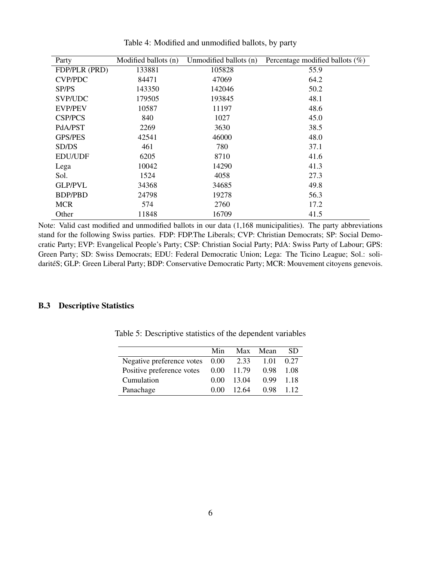| Party          | Modified ballots (n) | Unmodified ballots (n) | Percentage modified ballots $(\%)$ |
|----------------|----------------------|------------------------|------------------------------------|
| FDP/PLR (PRD)  | 133881               | 105828                 | 55.9                               |
| <b>CVP/PDC</b> | 84471                | 47069                  | 64.2                               |
| SP/PS          | 143350               | 142046                 | 50.2                               |
| SVP/UDC        | 179505               | 193845                 | 48.1                               |
| <b>EVP/PEV</b> | 10587                | 11197                  | 48.6                               |
| <b>CSP/PCS</b> | 840                  | 1027                   | 45.0                               |
| PdA/PST        | 2269                 | 3630                   | 38.5                               |
| <b>GPS/PES</b> | 42541                | 46000                  | 48.0                               |
| SD/DS          | 461                  | 780                    | 37.1                               |
| <b>EDU/UDF</b> | 6205                 | 8710                   | 41.6                               |
| Lega           | 10042                | 14290                  | 41.3                               |
| Sol.           | 1524                 | 4058                   | 27.3                               |
| <b>GLP/PVL</b> | 34368                | 34685                  | 49.8                               |
| BDP/PBD        | 24798                | 19278                  | 56.3                               |
| <b>MCR</b>     | 574                  | 2760                   | 17.2                               |
| Other          | 11848                | 16709                  | 41.5                               |

Table 4: Modified and unmodified ballots, by party

Note: Valid cast modified and unmodified ballots in our data (1,168 municipalities). The party abbreviations stand for the following Swiss parties. FDP: FDP.The Liberals; CVP: Christian Democrats; SP: Social Democratic Party; EVP: Evangelical People's Party; CSP: Christian Social Party; PdA: Swiss Party of Labour; GPS: Green Party; SD: Swiss Democrats; EDU: Federal Democratic Union; Lega: The Ticino League; Sol.: solidaritéS; GLP: Green Liberal Party; BDP: Conservative Democratic Party; MCR: Mouvement citoyens genevois.

#### <span id="page-7-0"></span>B.3 Descriptive Statistics

|                           | Min      | Max   | Mean | SD.   |
|---------------------------|----------|-------|------|-------|
| Negative preference votes | 0.00     | 2.33  | 1.01 | 0.27  |
| Positive preference votes | $0.00\,$ | 11.79 | 0.98 | 1.08  |
| Cumulation                | 0.00     | 13.04 | O 99 | 1.18  |
| Panachage                 | 0.00     | 12.64 | 0.98 | 1 1 2 |

Table 5: Descriptive statistics of the dependent variables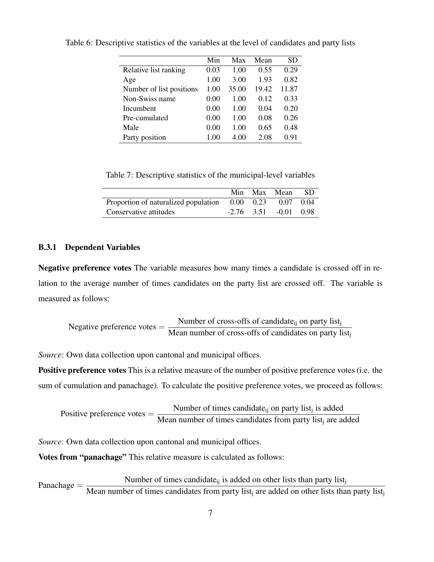|                          | Min  | Max   | Mean  | <b>SD</b> |
|--------------------------|------|-------|-------|-----------|
| Relative list ranking    | 0.03 | 1.00  | 0.55  | 0.29      |
| Age                      | 1.00 | 3.00  | 1.93  | 0.82      |
| Number of list positions | 1.00 | 35.00 | 19.42 | 11.87     |
| Non-Swiss name           | 0.00 | 1.00  | 0.12  | 0.33      |
| Incumbent                | 0.00 | 1.00  | 0.04  | 0.20      |
| Pre-cumulated            | 0.00 | 1.00  | 0.08  | 0.26      |
| Male                     | 0.00 | 1.00  | 0.65  | 0.48      |
| Party position           | 1.00 | 4.00  | 2.08  | 0.91      |

Table 6: Descriptive statistics of the variables at the level of candidates and party lists

Table 7: Descriptive statistics of the municipal-level variables

|                                                          |  | Min Max Mean                  | - SD |
|----------------------------------------------------------|--|-------------------------------|------|
| Proportion of naturalized population 0.00 0.23 0.07 0.04 |  |                               |      |
| Conservative attitudes                                   |  | $-2.76$ $3.51$ $-0.01$ $0.98$ |      |

#### <span id="page-8-0"></span>B.3.1 Dependent Variables

Negative preference votes The variable measures how many times a candidate is crossed off in relation to the average number of times candidates on the party list are crossed off. The variable is measured as follows:

Negative preference votes = 
$$
\frac{\text{Number of cross-offs of candidate}_{ij} \text{ on party list}_{j}}{\text{Mean number of cross-offs of candidates on party list}_{j}}
$$

*Source*: Own data collection upon cantonal and municipal offices.

Positive preference votes This is a relative measure of the number of positive preference votes (i.e. the sum of cumulation and panachage). To calculate the positive preference votes, we proceed as follows:

Positive preference votes = 
$$
\frac{\text{Number of times candidate}_{ij}}{\text{Mean number of times candidates from party list}_{j}}
$$
 is added

*Source*: Own data collection upon cantonal and municipal offices.

Votes from "panachage" This relative measure is calculated as follows:

Panachage  $=$  Number of times candidate<sub>ij</sub> is added on other lists than party list<sub>i</sub>-<br>Panachage  $=$  M is a part list of times candidates from a starling and data on other lists the Mean number of times candidates from party list<sub>j</sub> are added on other lists than party list<sub>j</sub>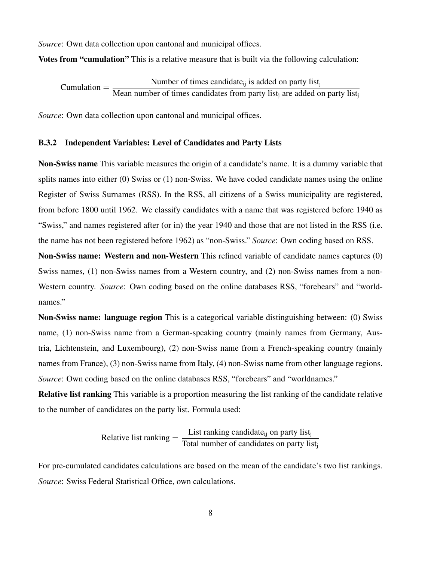*Source*: Own data collection upon cantonal and municipal offices.

Votes from "cumulation" This is a relative measure that is built via the following calculation:

 $Cumulation =$ Number of times candidate $_{ij}$  is added on party list $_i$ Mean number of times candidates from party list<sub>j</sub> are added on party list<sub>j</sub>

*Source*: Own data collection upon cantonal and municipal offices.

#### <span id="page-9-0"></span>B.3.2 Independent Variables: Level of Candidates and Party Lists

Non-Swiss name This variable measures the origin of a candidate's name. It is a dummy variable that splits names into either (0) Swiss or (1) non-Swiss. We have coded candidate names using the online Register of Swiss Surnames (RSS). In the RSS, all citizens of a Swiss municipality are registered, from before 1800 until 1962. We classify candidates with a name that was registered before 1940 as "Swiss," and names registered after (or in) the year 1940 and those that are not listed in the RSS (i.e. the name has not been registered before 1962) as "non-Swiss." *Source*: Own coding based on RSS.

Non-Swiss name: Western and non-Western This refined variable of candidate names captures (0) Swiss names, (1) non-Swiss names from a Western country, and (2) non-Swiss names from a non-Western country. *Source*: Own coding based on the online databases RSS, "forebears" and "worldnames."

Non-Swiss name: language region This is a categorical variable distinguishing between: (0) Swiss name, (1) non-Swiss name from a German-speaking country (mainly names from Germany, Austria, Lichtenstein, and Luxembourg), (2) non-Swiss name from a French-speaking country (mainly names from France), (3) non-Swiss name from Italy, (4) non-Swiss name from other language regions. *Source*: Own coding based on the online databases RSS, "forebears" and "worldnames."

Relative list ranking This variable is a proportion measuring the list ranking of the candidate relative to the number of candidates on the party list. Formula used:

Relative list ranking = 
$$
\frac{\text{List ranking candidate}_{ij} \text{ on party list}_{j}}{\text{Total number of candidates on party list}_{j}}
$$

For pre-cumulated candidates calculations are based on the mean of the candidate's two list rankings. *Source*: Swiss Federal Statistical Office, own calculations.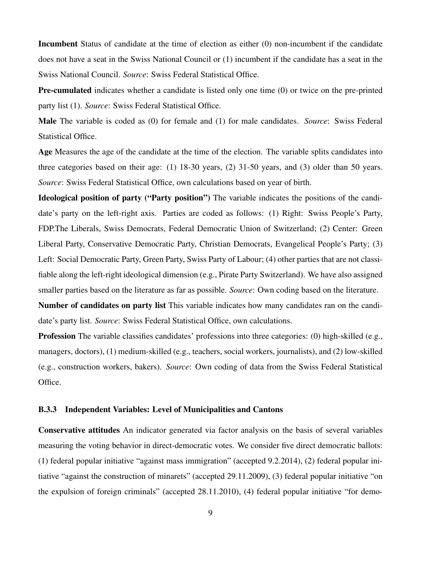Incumbent Status of candidate at the time of election as either (0) non-incumbent if the candidate does not have a seat in the Swiss National Council or (1) incumbent if the candidate has a seat in the Swiss National Council. *Source*: Swiss Federal Statistical Office.

Pre-cumulated indicates whether a candidate is listed only one time (0) or twice on the pre-printed party list (1). *Source*: Swiss Federal Statistical Office.

Male The variable is coded as (0) for female and (1) for male candidates. *Source*: Swiss Federal Statistical Office.

Age Measures the age of the candidate at the time of the election. The variable splits candidates into three categories based on their age: (1) 18-30 years, (2) 31-50 years, and (3) older than 50 years. *Source*: Swiss Federal Statistical Office, own calculations based on year of birth.

Ideological position of party ("Party position") The variable indicates the positions of the candidate's party on the left-right axis. Parties are coded as follows: (1) Right: Swiss People's Party, FDP.The Liberals, Swiss Democrats, Federal Democratic Union of Switzerland; (2) Center: Green Liberal Party, Conservative Democratic Party, Christian Democrats, Evangelical People's Party; (3) Left: Social Democratic Party, Green Party, Swiss Party of Labour; (4) other parties that are not classifiable along the left-right ideological dimension (e.g., Pirate Party Switzerland). We have also assigned smaller parties based on the literature as far as possible. *Source*: Own coding based on the literature.

Number of candidates on party list This variable indicates how many candidates ran on the candidate's party list. *Source*: Swiss Federal Statistical Office, own calculations.

Profession The variable classifies candidates' professions into three categories: (0) high-skilled (e.g., managers, doctors), (1) medium-skilled (e.g., teachers, social workers, journalists), and (2) low-skilled (e.g., construction workers, bakers). *Source*: Own coding of data from the Swiss Federal Statistical Office.

#### <span id="page-10-0"></span>B.3.3 Independent Variables: Level of Municipalities and Cantons

Conservative attitudes An indicator generated via factor analysis on the basis of several variables measuring the voting behavior in direct-democratic votes. We consider five direct democratic ballots: (1) federal popular initiative "against mass immigration" (accepted 9.2.2014), (2) federal popular initiative "against the construction of minarets" (accepted 29.11.2009), (3) federal popular initiative "on the expulsion of foreign criminals" (accepted 28.11.2010), (4) federal popular initiative "for demo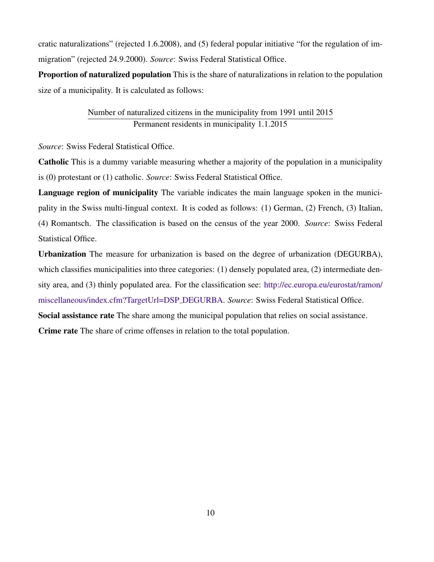cratic naturalizations" (rejected 1.6.2008), and (5) federal popular initiative "for the regulation of immigration" (rejected 24.9.2000). *Source*: Swiss Federal Statistical Office.

Proportion of naturalized population This is the share of naturalizations in relation to the population size of a municipality. It is calculated as follows:

### Number of naturalized citizens in the municipality from 1991 until 2015 Permanent residents in municipality 1.1.2015

*Source*: Swiss Federal Statistical Office.

Catholic This is a dummy variable measuring whether a majority of the population in a municipality is (0) protestant or (1) catholic. *Source*: Swiss Federal Statistical Office.

Language region of municipality The variable indicates the main language spoken in the municipality in the Swiss multi-lingual context. It is coded as follows: (1) German, (2) French, (3) Italian, (4) Romantsch. The classification is based on the census of the year 2000. *Source*: Swiss Federal Statistical Office.

Urbanization The measure for urbanization is based on the degree of urbanization (DEGURBA), which classifies municipalities into three categories: (1) densely populated area, (2) intermediate density area, and (3) thinly populated area. For the classification see: [http://ec.europa.eu/eurostat/ramon/](http://ec.europa.eu/eurostat/ramon/miscellaneous/index.cfm?TargetUrl=DSP_DEGURBA) [miscellaneous/index.cfm?TargetUrl=DSP](http://ec.europa.eu/eurostat/ramon/miscellaneous/index.cfm?TargetUrl=DSP_DEGURBA) DEGURBA. *Source*: Swiss Federal Statistical Office. Social assistance rate The share among the municipal population that relies on social assistance.

Crime rate The share of crime offenses in relation to the total population.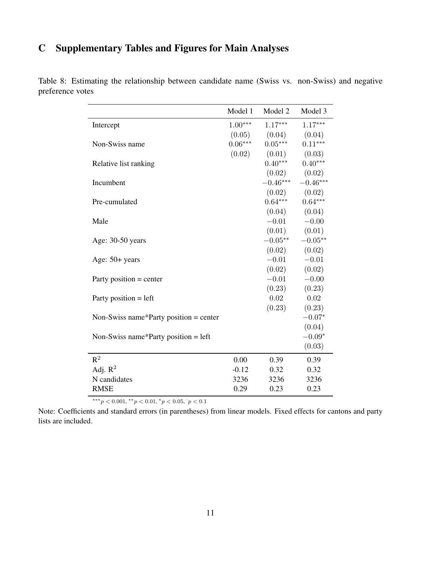# <span id="page-12-0"></span>C Supplementary Tables and Figures for Main Analyses

|                                        | Model 1   | Model 2    | Model 3    |
|----------------------------------------|-----------|------------|------------|
|                                        |           |            |            |
| Intercept                              | $1.00***$ | $1.17***$  | $1.17***$  |
|                                        | (0.05)    | (0.04)     | (0.04)     |
| Non-Swiss name                         | $0.06***$ | $0.05***$  | $0.11***$  |
|                                        | (0.02)    | (0.01)     | (0.03)     |
| Relative list ranking                  |           | $0.40***$  | $0.40***$  |
|                                        |           | (0.02)     | (0.02)     |
| Incumbent                              |           | $-0.46***$ | $-0.46***$ |
|                                        |           | (0.02)     | (0.02)     |
| Pre-cumulated                          |           | $0.64***$  | $0.64***$  |
|                                        |           | (0.04)     | (0.04)     |
| Male                                   |           | $-0.01$    | $-0.00$    |
|                                        |           | (0.01)     | (0.01)     |
| Age: 30-50 years                       |           | $-0.05**$  | $-0.05**$  |
|                                        |           | (0.02)     | (0.02)     |
| Age: 50+ years                         |           | $-0.01$    | $-0.01$    |
|                                        |           | (0.02)     | (0.02)     |
| Party position $=$ center              |           | $-0.01$    | $-0.00$    |
|                                        |           | (0.23)     | (0.23)     |
| Party position = left                  |           | 0.02       | 0.02       |
|                                        |           | (0.23)     | (0.23)     |
| Non-Swiss name*Party position = center |           |            | $-0.07*$   |
|                                        |           |            | (0.04)     |
| Non-Swiss name*Party position = $left$ |           |            | $-0.09*$   |
|                                        |           |            | (0.03)     |
| $R^2$                                  | 0.00      | 0.39       | 0.39       |
| Adj. $R^2$                             | $-0.12$   | 0.32       | 0.32       |
| N candidates                           | 3236      | 3236       | 3236       |
| <b>RMSE</b>                            | 0.29      | 0.23       | 0.23       |

Table 8: Estimating the relationship between candidate name (Swiss vs. non-Swiss) and negative preference votes

 $***p<sub>0.001</sub>, **p<sub>0.01</sub>, *p<sub>0.05</sub>, p<sub>0.1</sub>$ 

Note: Coefficients and standard errors (in parentheses) from linear models. Fixed effects for cantons and party lists are included.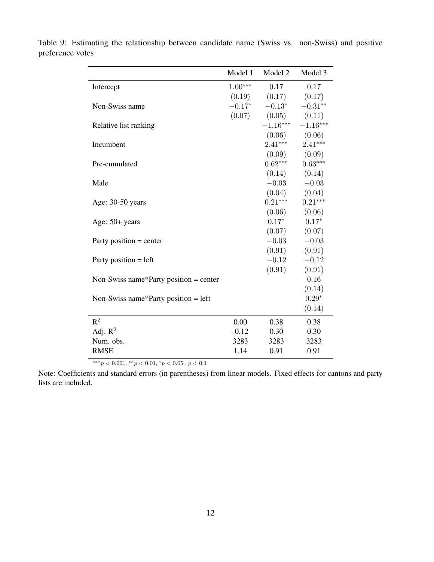|                                        | Model 1   | Model 2    | Model 3    |
|----------------------------------------|-----------|------------|------------|
| Intercept                              | $1.00***$ | 0.17       | 0.17       |
|                                        | (0.19)    | (0.17)     | (0.17)     |
| Non-Swiss name                         | $-0.17*$  | $-0.13*$   | $-0.31**$  |
|                                        | (0.07)    | (0.05)     | (0.11)     |
| Relative list ranking                  |           | $-1.16***$ | $-1.16***$ |
|                                        |           | (0.06)     | (0.06)     |
| Incumbent                              |           | $2.41***$  | $2.41***$  |
|                                        |           | (0.09)     | (0.09)     |
| Pre-cumulated                          |           | $0.62***$  | $0.63***$  |
|                                        |           | (0.14)     | (0.14)     |
| Male                                   |           | $-0.03$    | $-0.03$    |
|                                        |           | (0.04)     | (0.04)     |
| Age: 30-50 years                       |           | $0.21***$  | $0.21***$  |
|                                        |           | (0.06)     | (0.06)     |
| Age: 50+ years                         |           | $0.17*$    | $0.17*$    |
|                                        |           | (0.07)     | (0.07)     |
| Party position $=$ center              |           | $-0.03$    | $-0.03$    |
|                                        |           | (0.91)     | (0.91)     |
| Party position $=$ left                |           | $-0.12$    | $-0.12$    |
|                                        |           | (0.91)     | (0.91)     |
| Non-Swiss name*Party position = center |           |            | 0.16       |
|                                        |           |            | (0.14)     |
| Non-Swiss name*Party position = $left$ |           |            | $0.29*$    |
|                                        |           |            | (0.14)     |
| $R^2$                                  | 0.00      | 0.38       | 0.38       |
| Adj. $R^2$                             | $-0.12$   | 0.30       | 0.30       |
| Num. obs.                              | 3283      | 3283       | 3283       |
| <b>RMSE</b>                            | 1.14      | 0.91       | 0.91       |

Table 9: Estimating the relationship between candidate name (Swiss vs. non-Swiss) and positive preference votes

 $***p<0.001, **p<0.01, *p<0.05, p<0.1$ 

Note: Coefficients and standard errors (in parentheses) from linear models. Fixed effects for cantons and party lists are included.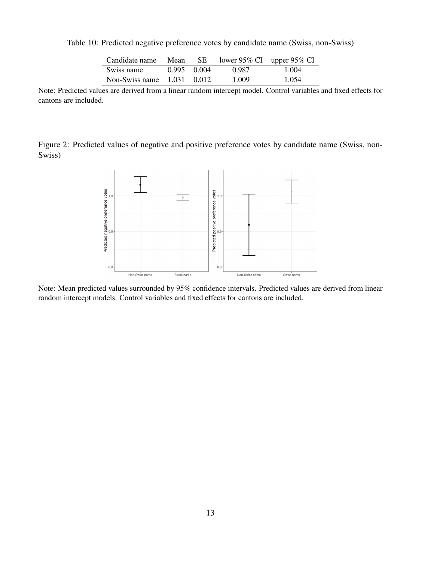| Candidate name               | Mean        | -SE | lower 95% CI upper 95% CI |       |
|------------------------------|-------------|-----|---------------------------|-------|
| Swiss name                   | 0.995 0.004 |     | 0.987                     | 1.004 |
| Non-Swiss name $1.031$ 0.012 |             |     | 1.009                     | 1.054 |

Table 10: Predicted negative preference votes by candidate name (Swiss, non-Swiss)

Note: Predicted values are derived from a linear random intercept model. Control variables and fixed effects for cantons are included.

Figure 2: Predicted values of negative and positive preference votes by candidate name (Swiss, non-Swiss)



Note: Mean predicted values surrounded by 95% confidence intervals. Predicted values are derived from linear random intercept models. Control variables and fixed effects for cantons are included.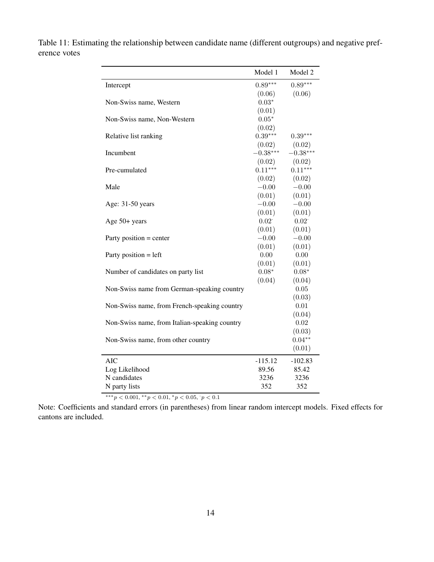|                                               | Model 1    | Model 2            |
|-----------------------------------------------|------------|--------------------|
| Intercept                                     | $0.89***$  | $0.89***$          |
|                                               | (0.06)     | (0.06)             |
| Non-Swiss name, Western                       | $0.03*$    |                    |
|                                               | (0.01)     |                    |
| Non-Swiss name, Non-Western                   | $0.05*$    |                    |
|                                               | (0.02)     |                    |
| Relative list ranking                         | $0.39***$  | $0.39***$          |
|                                               | (0.02)     | (0.02)             |
| Incumbent                                     | $-0.38***$ | $-0.38***$         |
|                                               | (0.02)     | (0.02)             |
| Pre-cumulated                                 | $0.11***$  | $0.11***$          |
|                                               | (0.02)     | (0.02)             |
| Male                                          | $-0.00$    | $-0.00$            |
|                                               | (0.01)     | (0.01)             |
| Age: 31-50 years                              | $-0.00$    | $-0.00$            |
|                                               | (0.01)     | (0.01)             |
| Age 50+ years                                 | 0.02       | 0.02               |
|                                               | (0.01)     | (0.01)             |
| Party position $=$ center                     | $-0.00$    | $-0.00$            |
|                                               | (0.01)     | (0.01)             |
| Party position $=$ left                       | 0.00       | 0.00               |
|                                               | (0.01)     | (0.01)             |
| Number of candidates on party list            | $0.08*$    | $0.08*$            |
|                                               | (0.04)     | (0.04)             |
| Non-Swiss name from German-speaking country   |            | 0.05               |
|                                               |            | (0.03)             |
| Non-Swiss name, from French-speaking country  |            | 0.01               |
|                                               |            | (0.04)             |
| Non-Swiss name, from Italian-speaking country |            | 0.02               |
|                                               |            | (0.03)<br>$0.04**$ |
| Non-Swiss name, from other country            |            | (0.01)             |
|                                               |            |                    |
| <b>AIC</b>                                    | $-115.12$  | $-102.83$          |
| Log Likelihood                                | 89.56      | 85.42              |
| N candidates                                  | 3236       | 3236               |
| N party lists                                 | 352        | 352                |

Table 11: Estimating the relationship between candidate name (different outgroups) and negative preference votes

\*\*\* $p < 0.001$ , \*\* $p < 0.01$ , \* $p < 0.05$ ,  $p < 0.1$ 

Note: Coefficients and standard errors (in parentheses) from linear random intercept models. Fixed effects for cantons are included.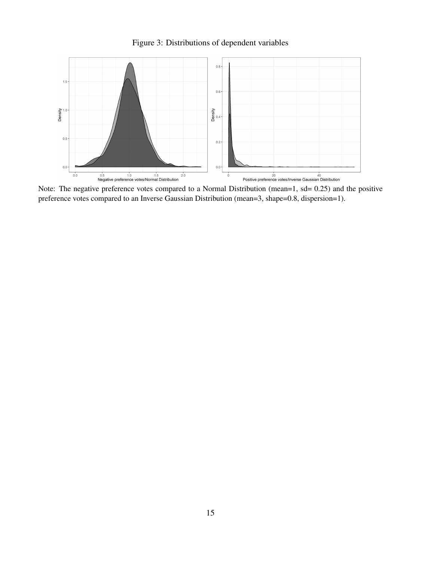



Note: The negative preference votes compared to a Normal Distribution (mean=1, sd= 0.25) and the positive preference votes compared to an Inverse Gaussian Distribution (mean=3, shape=0.8, dispersion=1).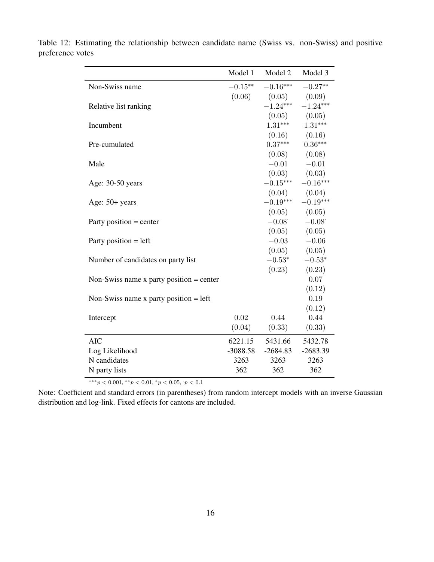|                                            | Model 1    | Model 2    | Model 3           |
|--------------------------------------------|------------|------------|-------------------|
| Non-Swiss name                             | $-0.15**$  | $-0.16***$ | $-0.27**$         |
|                                            | (0.06)     | (0.05)     | (0.09)            |
| Relative list ranking                      |            | $-1.24***$ | $-1.24***$        |
|                                            |            | (0.05)     | (0.05)            |
| Incumbent                                  |            | $1.31***$  | $1.31***$         |
|                                            |            |            | $(0.16)$ $(0.16)$ |
| Pre-cumulated                              |            | $0.37***$  | $0.36***$         |
|                                            |            | (0.08)     | (0.08)            |
| Male                                       |            | $-0.01$    | $-0.01$           |
|                                            |            |            | $(0.03)$ $(0.03)$ |
| Age: 30-50 years                           |            | $-0.15***$ | $-0.16***$        |
|                                            |            | (0.04)     | (0.04)            |
| Age: 50+ years                             |            | $-0.19***$ | $-0.19***$        |
|                                            |            | (0.05)     | (0.05)            |
| Party position $=$ center                  |            | $-0.08$    | $-0.08$           |
|                                            |            | (0.05)     | (0.05)            |
| Party position $=$ left                    |            | $-0.03$    | $-0.06$           |
|                                            |            | (0.05)     | (0.05)            |
| Number of candidates on party list         |            | $-0.53*$   | $-0.53*$          |
|                                            |            | (0.23)     | (0.23)            |
| Non-Swiss name x party position $=$ center |            |            | 0.07              |
|                                            |            |            | (0.12)            |
| Non-Swiss name x party position $=$ left   |            |            | 0.19              |
|                                            |            |            | (0.12)            |
| Intercept                                  | 0.02       | 0.44       | 0.44              |
|                                            | (0.04)     | (0.33)     | (0.33)            |
| <b>AIC</b>                                 | 6221.15    | 5431.66    | 5432.78           |
| Log Likelihood                             | $-3088.58$ | $-2684.83$ | $-2683.39$        |
| N candidates                               | 3263       | 3263       | 3263              |
| N party lists                              | 362        | 362        | 362               |

Table 12: Estimating the relationship between candidate name (Swiss vs. non-Swiss) and positive preference votes

 $***p<0.001, **p<0.01, *p<0.05, p<0.1$ 

Note: Coefficient and standard errors (in parentheses) from random intercept models with an inverse Gaussian distribution and log-link. Fixed effects for cantons are included.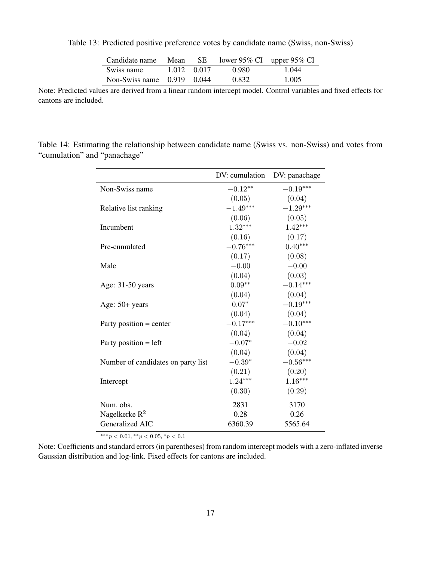| Candidate name               | Mean | SE.         | lower 95% CI upper 95% CI |       |
|------------------------------|------|-------------|---------------------------|-------|
| Swiss name                   |      | 1.012 0.017 | 0.980                     | 1.044 |
| Non-Swiss name $0.919$ 0.044 |      |             | 0.832                     | 1.005 |

Table 13: Predicted positive preference votes by candidate name (Swiss, non-Swiss)

Note: Predicted values are derived from a linear random intercept model. Control variables and fixed effects for cantons are included.

Table 14: Estimating the relationship between candidate name (Swiss vs. non-Swiss) and votes from "cumulation" and "panachage"

|                                    | DV: cumulation | DV: panachage |
|------------------------------------|----------------|---------------|
| Non-Swiss name                     | $-0.12**$      | $-0.19***$    |
|                                    | (0.05)         | (0.04)        |
| Relative list ranking              | $-1.49***$     | $-1.29***$    |
|                                    | (0.06)         | (0.05)        |
| Incumbent                          | $1.32***$      | $1.42***$     |
|                                    | (0.16)         | (0.17)        |
| Pre-cumulated                      | $-0.76***$     | $0.40***$     |
|                                    | (0.17)         | (0.08)        |
| Male                               | $-0.00$        | $-0.00$       |
|                                    | (0.04)         | (0.03)        |
| Age: 31-50 years                   | $0.09**$       | $-0.14***$    |
|                                    | (0.04)         | (0.04)        |
| Age: $50+$ years                   | $0.07*$        | $-0.19***$    |
|                                    | (0.04)         | (0.04)        |
| Party position $=$ center          | $-0.17***$     | $-0.10***$    |
|                                    | (0.04)         | (0.04)        |
| Party position $=$ left            | $-0.07*$       | $-0.02$       |
|                                    | (0.04)         | (0.04)        |
| Number of candidates on party list | $-0.39*$       | $-0.56***$    |
|                                    | (0.21)         | (0.20)        |
| Intercept                          | $1.24***$      | $1.16***$     |
|                                    | (0.30)         | (0.29)        |
| Num. obs.                          | 2831           | 3170          |
| Nagelkerke $R^2$                   | 0.28           | 0.26          |
| Generalized AIC                    | 6360.39        | 5565.64       |

 $***p<0.01, **p<0.05, *p<0.1$ 

Note: Coefficients and standard errors (in parentheses) from random intercept models with a zero-inflated inverse Gaussian distribution and log-link. Fixed effects for cantons are included.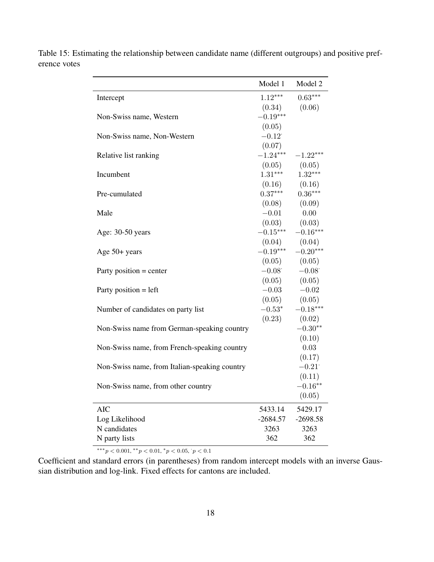|                                               | Model 1    | Model 2    |
|-----------------------------------------------|------------|------------|
| Intercept                                     | $1.12***$  | $0.63***$  |
|                                               | (0.34)     | (0.06)     |
| Non-Swiss name, Western                       | $-0.19***$ |            |
|                                               | (0.05)     |            |
| Non-Swiss name, Non-Western                   | $-0.12$    |            |
|                                               | (0.07)     |            |
| Relative list ranking                         | $-1.24***$ | $-1.22***$ |
|                                               | (0.05)     | (0.05)     |
| Incumbent                                     | $1.31***$  | $1.32***$  |
|                                               | (0.16)     | (0.16)     |
| Pre-cumulated                                 | $0.37***$  | $0.36***$  |
|                                               | (0.08)     | (0.09)     |
| Male                                          | $-0.01$    | 0.00       |
|                                               | (0.03)     | (0.03)     |
| Age: 30-50 years                              | $-0.15***$ | $-0.16***$ |
|                                               | (0.04)     | (0.04)     |
| Age 50+ years                                 | $-0.19***$ | $-0.20***$ |
|                                               | (0.05)     | (0.05)     |
| Party position $=$ center                     | $-0.08$    | $-0.08$    |
|                                               | (0.05)     | (0.05)     |
| Party position $=$ left                       | $-0.03$    | $-0.02$    |
|                                               | (0.05)     | (0.05)     |
| Number of candidates on party list            | $-0.53*$   | $-0.18***$ |
|                                               | (0.23)     | (0.02)     |
| Non-Swiss name from German-speaking country   |            | $-0.30**$  |
|                                               |            | (0.10)     |
| Non-Swiss name, from French-speaking country  |            | 0.03       |
|                                               |            | (0.17)     |
| Non-Swiss name, from Italian-speaking country |            | $-0.21$    |
|                                               |            | (0.11)     |
| Non-Swiss name, from other country            |            | $-0.16**$  |
|                                               |            | (0.05)     |
| <b>AIC</b>                                    | 5433.14    | 5429.17    |
| Log Likelihood                                | $-2684.57$ | $-2698.58$ |
| N candidates                                  | 3263       | 3263       |
| N party lists                                 | 362        | 362        |
|                                               |            |            |

Table 15: Estimating the relationship between candidate name (different outgroups) and positive preference votes

 $***p<0.001, **p<0.01, *p<0.05, p<0.1$ 

Coefficient and standard errors (in parentheses) from random intercept models with an inverse Gaussian distribution and log-link. Fixed effects for cantons are included.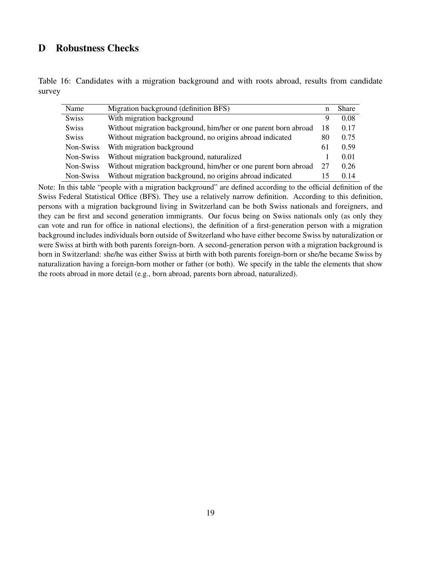### <span id="page-20-0"></span>D Robustness Checks

|        | Table 16: Candidates with a migration background and with roots abroad, results from candidate |  |  |  |  |  |
|--------|------------------------------------------------------------------------------------------------|--|--|--|--|--|
| survey |                                                                                                |  |  |  |  |  |

| Name         | Migration background (definition BFS)                           | n  | <b>Share</b> |
|--------------|-----------------------------------------------------------------|----|--------------|
| <b>Swiss</b> | With migration background                                       | 9  | 0.08         |
| <b>Swiss</b> | Without migration background, him/her or one parent born abroad | 18 | 0.17         |
| <b>Swiss</b> | Without migration background, no origins abroad indicated       | 80 | 0.75         |
| Non-Swiss    | With migration background                                       | 61 | 0.59         |
| Non-Swiss    | Without migration background, naturalized                       |    | 0.01         |
| Non-Swiss    | Without migration background, him/her or one parent born abroad | 27 | 0.26         |
| Non-Swiss    | Without migration background, no origins abroad indicated       |    | 0.14         |

Note: In this table "people with a migration background" are defined according to the official definition of the Swiss Federal Statistical Office (BFS). They use a relatively narrow definition. According to this definition, persons with a migration background living in Switzerland can be both Swiss nationals and foreigners, and they can be first and second generation immigrants. Our focus being on Swiss nationals only (as only they can vote and run for office in national elections), the definition of a first-generation person with a migration background includes individuals born outside of Switzerland who have either become Swiss by naturalization or were Swiss at birth with both parents foreign-born. A second-generation person with a migration background is born in Switzerland: she/he was either Swiss at birth with both parents foreign-born or she/he became Swiss by naturalization having a foreign-born mother or father (or both). We specify in the table the elements that show the roots abroad in more detail (e.g., born abroad, parents born abroad, naturalized).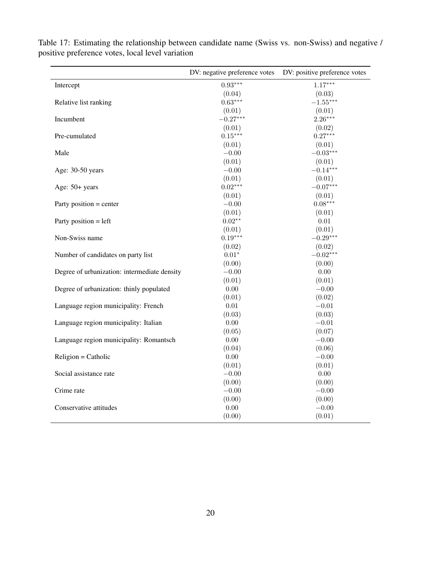|                                              | DV: negative preference votes | DV: positive preference votes |
|----------------------------------------------|-------------------------------|-------------------------------|
| Intercept                                    | $0.93***$                     | $1.17***$                     |
|                                              | (0.04)                        | (0.03)                        |
| Relative list ranking                        | $0.63***$                     | $-1.55***$                    |
|                                              | (0.01)                        | (0.01)                        |
| Incumbent                                    | $-0.27***$                    | $2.26***$                     |
|                                              | (0.01)                        | (0.02)                        |
| Pre-cumulated                                | $0.15***$                     | $0.27***$                     |
|                                              | (0.01)                        | (0.01)                        |
| Male                                         | $-0.00$                       | $-0.03***$                    |
|                                              | (0.01)                        | (0.01)                        |
| Age: 30-50 years                             | $-0.00$                       | $-0.14***$                    |
|                                              | (0.01)                        | (0.01)                        |
| Age: 50+ years                               | $0.02***$                     | $-0.07***$                    |
|                                              | (0.01)                        | (0.01)                        |
| Party position = center                      | $-0.00$                       | $0.08***$                     |
|                                              | (0.01)                        | (0.01)                        |
| Party position $=$ left                      | $0.02**$                      | 0.01                          |
|                                              | (0.01)                        | (0.01)                        |
| Non-Swiss name                               | $0.19***$                     | $-0.29***$                    |
|                                              | (0.02)                        | (0.02)                        |
| Number of candidates on party list           | $0.01^{\ast}$                 | $-0.02***$                    |
|                                              | (0.00)                        | (0.00)                        |
| Degree of urbanization: intermediate density | $-0.00$                       | 0.00                          |
|                                              | (0.01)                        | (0.01)                        |
| Degree of urbanization: thinly populated     | 0.00                          | $-0.00$                       |
|                                              | (0.01)                        | (0.02)                        |
| Language region municipality: French         | 0.01                          | $-0.01$                       |
|                                              | (0.03)                        | (0.03)                        |
| Language region municipality: Italian        | $0.00\,$                      | $-0.01$                       |
|                                              | (0.05)                        | (0.07)                        |
| Language region municipality: Romantsch      | $0.00\,$                      | $-0.00$                       |
|                                              | (0.04)                        | (0.06)                        |
| $Religion = Catholic$                        | 0.00                          | $-0.00$                       |
|                                              | (0.01)                        | (0.01)                        |
| Social assistance rate                       | $-0.00$                       | $0.00\,$                      |
|                                              | (0.00)                        | (0.00)                        |
| Crime rate                                   | $-0.00$                       | $-0.00$                       |
|                                              | (0.00)                        | (0.00)                        |
| Conservative attitudes                       | $0.00\,$                      | $-0.00$                       |
|                                              | (0.00)                        | (0.01)                        |

Table 17: Estimating the relationship between candidate name (Swiss vs. non-Swiss) and negative / positive preference votes, local level variation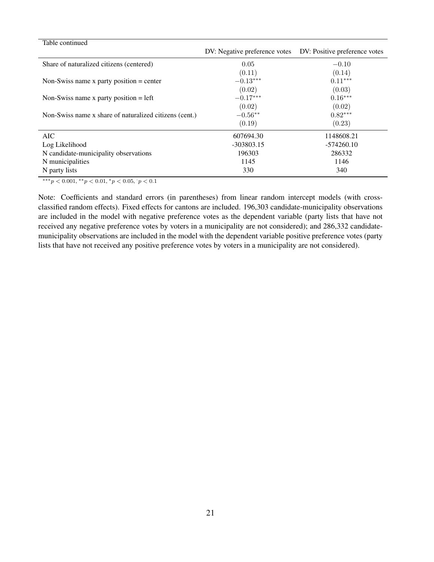| DV: Negative preference votes | DV: Positive preference votes |
|-------------------------------|-------------------------------|
| 0.05                          | $-0.10$                       |
| (0.11)                        | (0.14)                        |
| $-0.13***$                    | $0.11***$                     |
| (0.02)                        | (0.03)                        |
| $-0.17***$                    | $0.16***$                     |
| (0.02)                        | (0.02)                        |
| $-0.56**$                     | $0.82***$                     |
| (0.19)                        | (0.23)                        |
| 607694.30                     | 1148608.21                    |
| $-303803.15$                  | $-574260.10$                  |
| 196303                        | 286332                        |
| 1145                          | 1146                          |
| 330                           | 340                           |
|                               |                               |

 $***p<0.001, **p<0.01, *p<0.05, p<0.1$ 

Note: Coefficients and standard errors (in parentheses) from linear random intercept models (with crossclassified random effects). Fixed effects for cantons are included. 196,303 candidate-municipality observations are included in the model with negative preference votes as the dependent variable (party lists that have not received any negative preference votes by voters in a municipality are not considered); and 286,332 candidatemunicipality observations are included in the model with the dependent variable positive preference votes (party lists that have not received any positive preference votes by voters in a municipality are not considered).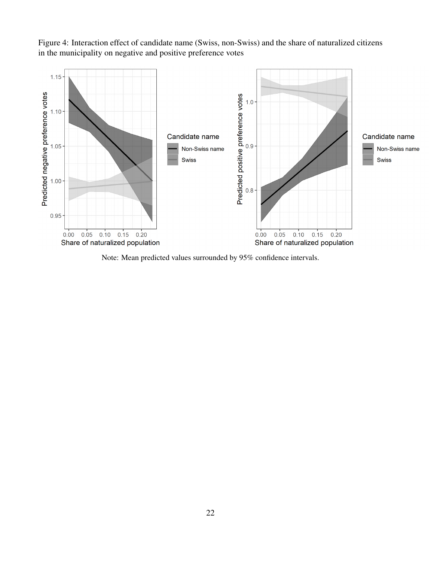Figure 4: Interaction effect of candidate name (Swiss, non-Swiss) and the share of naturalized citizens in the municipality on negative and positive preference votes



Note: Mean predicted values surrounded by 95% confidence intervals.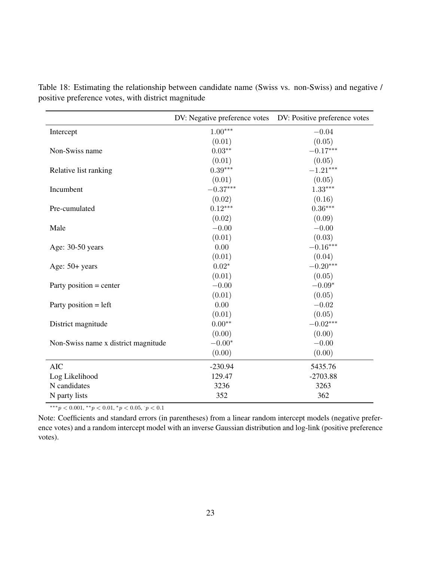|                                     | DV: Negative preference votes | DV: Positive preference votes |
|-------------------------------------|-------------------------------|-------------------------------|
| Intercept                           | $1.00***$                     | $-0.04$                       |
|                                     | (0.01)                        | (0.05)                        |
| Non-Swiss name                      | $0.03**$                      | $-0.17***$                    |
|                                     | (0.01)                        | (0.05)                        |
| Relative list ranking               | $0.39***$                     | $-1.21***$                    |
|                                     | (0.01)                        | (0.05)                        |
| Incumbent                           | $-0.37***$                    | $1.33***$                     |
|                                     | (0.02)                        | (0.16)                        |
| Pre-cumulated                       | $0.12***$                     | $0.36^{\ast\ast\ast}$         |
|                                     | (0.02)                        | (0.09)                        |
| Male                                | $-0.00$                       | $-0.00$                       |
|                                     | (0.01)                        | (0.03)                        |
| Age: 30-50 years                    | 0.00                          | $-0.16***$                    |
|                                     | (0.01)                        | (0.04)                        |
| Age: $50+$ years                    | $0.02*$                       | $-0.20***$                    |
|                                     | (0.01)                        | (0.05)                        |
| Party position $=$ center           | $-0.00$                       | $-0.09*$                      |
|                                     | (0.01)                        | (0.05)                        |
| Party position $=$ left             | 0.00                          | $-0.02$                       |
|                                     | (0.01)                        | (0.05)                        |
| District magnitude                  | $0.00**$                      | $-0.02***$                    |
|                                     | (0.00)                        | (0.00)                        |
| Non-Swiss name x district magnitude | $-0.00*$                      | $-0.00$                       |
|                                     | (0.00)                        | (0.00)                        |
| <b>AIC</b>                          | $-230.94$                     | 5435.76                       |
| Log Likelihood                      | 129.47                        | $-2703.88$                    |
| N candidates                        | 3236                          | 3263                          |
| N party lists                       | 352                           | 362                           |

Table 18: Estimating the relationship between candidate name (Swiss vs. non-Swiss) and negative / positive preference votes, with district magnitude

 $***p<0.001, **p<0.01, *p<0.05, p<0.1$ 

Note: Coefficients and standard errors (in parentheses) from a linear random intercept models (negative preference votes) and a random intercept model with an inverse Gaussian distribution and log-link (positive preference votes).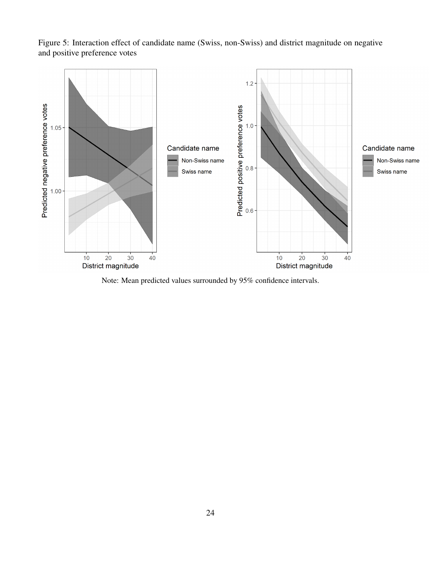Figure 5: Interaction effect of candidate name (Swiss, non-Swiss) and district magnitude on negative and positive preference votes



Note: Mean predicted values surrounded by 95% confidence intervals.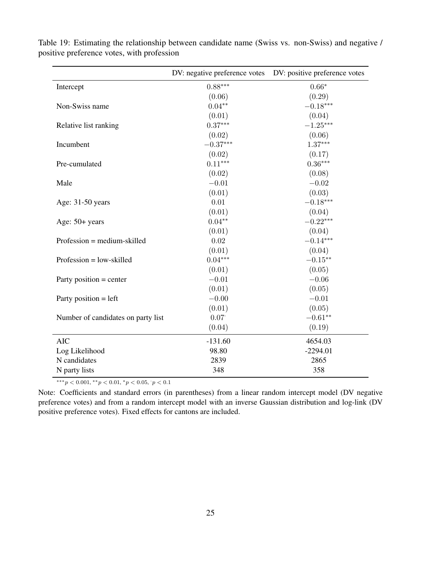|                                    | DV: negative preference votes | DV: positive preference votes |
|------------------------------------|-------------------------------|-------------------------------|
| Intercept                          | $0.88***$                     | $0.66*$                       |
|                                    | (0.06)                        | (0.29)                        |
| Non-Swiss name                     | $0.04**$                      | $-0.18***$                    |
|                                    | (0.01)                        | (0.04)                        |
| Relative list ranking              | $0.37***$                     | $-1.25***$                    |
|                                    | (0.02)                        | (0.06)                        |
| Incumbent                          | $-0.37***$                    | $1.37***$                     |
|                                    | (0.02)                        | (0.17)                        |
| Pre-cumulated                      | $0.11***$                     | $0.36***$                     |
|                                    | (0.02)                        | (0.08)                        |
| Male                               | $-0.01$                       | $-0.02$                       |
|                                    | (0.01)                        | (0.03)                        |
| Age: 31-50 years                   | $0.01\,$                      | $-0.18***$                    |
|                                    | (0.01)                        | (0.04)                        |
| Age: $50+$ years                   | $0.04**$                      | $-0.22***$                    |
|                                    | (0.01)                        | (0.04)                        |
| $Professor = medium-skilled$       | 0.02                          | $-0.14***$                    |
|                                    | (0.01)                        | (0.04)                        |
| $Professor = low-skilled$          | $0.04***$                     | $-0.15***$                    |
|                                    | (0.01)                        | (0.05)                        |
| Party position $=$ center          | $-0.01$                       | $-0.06$                       |
|                                    | (0.01)                        | (0.05)                        |
| Party position $=$ left            | $-0.00$                       | $-0.01$                       |
|                                    | (0.01)                        | (0.05)                        |
| Number of candidates on party list | 0.07                          | $-0.61**$                     |
|                                    | (0.04)                        | (0.19)                        |
| <b>AIC</b>                         | $-131.60$                     | 4654.03                       |
| Log Likelihood                     | 98.80                         | $-2294.01$                    |
| N candidates                       | 2839                          | 2865                          |
| N party lists                      | 348                           | 358                           |

Table 19: Estimating the relationship between candidate name (Swiss vs. non-Swiss) and negative / positive preference votes, with profession

 $***p<sub>0.001</sub>, **p<sub>0.01</sub>, *p<sub>0.05</sub>, p<sub>0.1</sub>$ 

Note: Coefficients and standard errors (in parentheses) from a linear random intercept model (DV negative preference votes) and from a random intercept model with an inverse Gaussian distribution and log-link (DV positive preference votes). Fixed effects for cantons are included.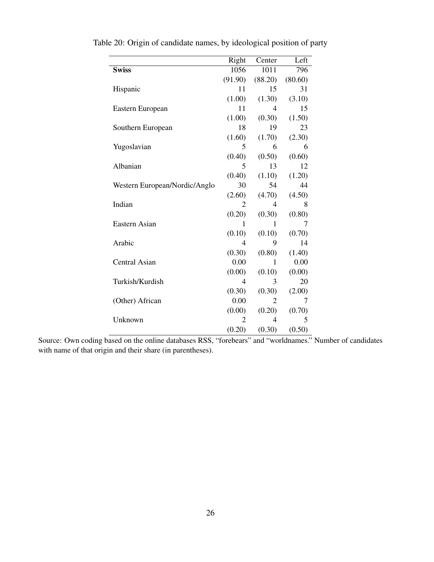|                               | Right          | Center         | Left    |
|-------------------------------|----------------|----------------|---------|
| <b>Swiss</b>                  | 1056           | 1011           | 796     |
|                               | (91.90)        | (88.20)        | (80.60) |
| Hispanic                      | 11             | 15             | 31      |
|                               | (1.00)         | (1.30)         | (3.10)  |
| Eastern European              | 11             | 4              | 15      |
|                               | (1.00)         | (0.30)         | (1.50)  |
| Southern European             | 18             | 19             | 23      |
|                               | (1.60)         | (1.70)         | (2.30)  |
| Yugoslavian                   | 5              | 6              | 6       |
|                               | (0.40)         | (0.50)         | (0.60)  |
| Albanian                      | 5              | 13             | 12      |
|                               | (0.40)         | (1.10)         | (1.20)  |
| Western European/Nordic/Anglo | 30             | 54             | 44      |
|                               | (2.60)         | (4.70)         | (4.50)  |
| Indian                        | 2              | 4              | 8       |
|                               | (0.20)         | (0.30)         | (0.80)  |
| Eastern Asian                 | 1              | 1              | 7       |
|                               | (0.10)         | (0.10)         | (0.70)  |
| Arabic                        | 4              | 9              | 14      |
|                               | (0.30)         | (0.80)         | (1.40)  |
| <b>Central Asian</b>          | 0.00           | 1              | 0.00    |
|                               | (0.00)         | (0.10)         | (0.00)  |
| Turkish/Kurdish               | 4              | 3              | 20      |
|                               | (0.30)         | (0.30)         | (2.00)  |
| (Other) African               | 0.00           | $\overline{2}$ | 7       |
|                               | (0.00)         | (0.20)         | (0.70)  |
| Unknown                       | $\overline{c}$ | 4              | 5       |
|                               | (0.20)         | (0.30)         | (0.50)  |

Table 20: Origin of candidate names, by ideological position of party

Source: Own coding based on the online databases RSS, "forebears" and "worldnames." Number of candidates with name of that origin and their share (in parentheses).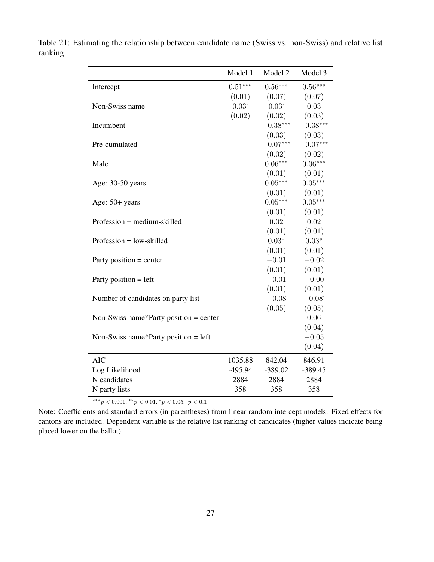|                                        | Model 1   | Model 2        | Model 3    |
|----------------------------------------|-----------|----------------|------------|
| Intercept                              | $0.51***$ | $0.56***$      | $0.56***$  |
|                                        | (0.01)    | (0.07)         | (0.07)     |
| Non-Swiss name                         | 0.03      | $0.03^{\circ}$ | 0.03       |
|                                        | (0.02)    | (0.02)         | (0.03)     |
| Incumbent                              |           | $-0.38***$     | $-0.38***$ |
|                                        |           | (0.03)         | (0.03)     |
| Pre-cumulated                          |           | $-0.07***$     | $-0.07***$ |
|                                        |           | (0.02)         | (0.02)     |
| Male                                   |           | $0.06***$      | $0.06***$  |
|                                        |           | (0.01)         | (0.01)     |
| Age: 30-50 years                       |           | $0.05***$      | $0.05***$  |
|                                        |           | (0.01)         | (0.01)     |
| Age: 50+ years                         |           | $0.05***$      | $0.05***$  |
|                                        |           | (0.01)         | (0.01)     |
| Profession = medium-skilled            |           | 0.02           | 0.02       |
|                                        |           | (0.01)         | (0.01)     |
| $Professor = low-skilled$              |           | $0.03*$        | $0.03*$    |
|                                        |           | (0.01)         | (0.01)     |
| Party position $=$ center              |           | $-0.01$        | $-0.02$    |
|                                        |           | (0.01)         | (0.01)     |
| Party position $=$ left                |           | $-0.01$        | $-0.00$    |
|                                        |           | (0.01)         | (0.01)     |
| Number of candidates on party list     |           | $-0.08$        | $-0.08$    |
|                                        |           | (0.05)         | (0.05)     |
| Non-Swiss name*Party position = center |           |                | 0.06       |
|                                        |           |                | (0.04)     |
| Non-Swiss name*Party position = $left$ |           |                | $-0.05$    |
|                                        |           |                | (0.04)     |
| <b>AIC</b>                             | 1035.88   | 842.04         | 846.91     |
| Log Likelihood                         | $-495.94$ | $-389.02$      | $-389.45$  |
| N candidates                           | 2884      | 2884           | 2884       |
| N party lists                          | 358       | 358            | 358        |

Table 21: Estimating the relationship between candidate name (Swiss vs. non-Swiss) and relative list ranking

\*\*\* $p < 0.001$ , \*\* $p < 0.01$ , \* $p < 0.05$ ,  $p < 0.1$ 

Note: Coefficients and standard errors (in parentheses) from linear random intercept models. Fixed effects for cantons are included. Dependent variable is the relative list ranking of candidates (higher values indicate being placed lower on the ballot).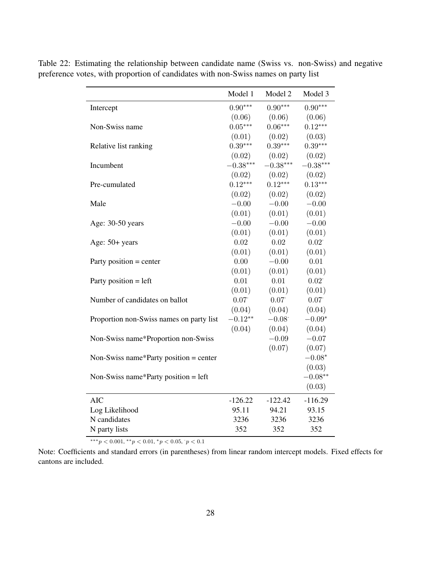|                                          | Model 1    | Model 2    | Model 3    |
|------------------------------------------|------------|------------|------------|
| Intercept                                | $0.90***$  | $0.90***$  | $0.90***$  |
|                                          | (0.06)     | (0.06)     | (0.06)     |
| Non-Swiss name                           | $0.05***$  | $0.06***$  | $0.12***$  |
|                                          | (0.01)     | (0.02)     | (0.03)     |
| Relative list ranking                    | $0.39***$  | $0.39***$  | $0.39***$  |
|                                          | (0.02)     | (0.02)     | (0.02)     |
| Incumbent                                | $-0.38***$ | $-0.38***$ | $-0.38***$ |
|                                          | (0.02)     | (0.02)     | (0.02)     |
| Pre-cumulated                            | $0.12***$  | $0.12***$  | $0.13***$  |
|                                          | (0.02)     | (0.02)     | (0.02)     |
| Male                                     | $-0.00$    | $-0.00$    | $-0.00$    |
|                                          | (0.01)     | (0.01)     | (0.01)     |
| Age: 30-50 years                         | $-0.00$    | $-0.00$    | $-0.00$    |
|                                          | (0.01)     | (0.01)     | (0.01)     |
| Age: 50+ years                           | 0.02       | 0.02       | 0.02       |
|                                          | (0.01)     | (0.01)     | (0.01)     |
| Party position $=$ center                | 0.00       | $-0.00$    | 0.01       |
|                                          | (0.01)     | (0.01)     | (0.01)     |
| Party position $=$ left                  | 0.01       | 0.01       | 0.02       |
|                                          | (0.01)     | (0.01)     | (0.01)     |
| Number of candidates on ballot           | 0.07       | 0.07       | 0.07       |
|                                          | (0.04)     | (0.04)     | (0.04)     |
| Proportion non-Swiss names on party list | $-0.12**$  | $-0.08$    | $-0.09*$   |
|                                          | (0.04)     | (0.04)     | (0.04)     |
| Non-Swiss name*Proportion non-Swiss      |            | $-0.09$    | $-0.07$    |
|                                          |            | (0.07)     | (0.07)     |
| Non-Swiss name*Party position = center   |            |            | $-0.08*$   |
|                                          |            |            | (0.03)     |
| Non-Swiss name*Party position = $left$   |            |            | $-0.08**$  |
|                                          |            |            | (0.03)     |
| <b>AIC</b>                               | $-126.22$  | $-122.42$  | $-116.29$  |
| Log Likelihood                           | 95.11      | 94.21      | 93.15      |
| N candidates                             | 3236       | 3236       | 3236       |
| N party lists                            | 352        | 352        | 352        |

Table 22: Estimating the relationship between candidate name (Swiss vs. non-Swiss) and negative preference votes, with proportion of candidates with non-Swiss names on party list

\*\*\* $p < 0.001$ , \*\* $p < 0.01$ , \* $p < 0.05$ ,  $p < 0.1$ 

Note: Coefficients and standard errors (in parentheses) from linear random intercept models. Fixed effects for cantons are included.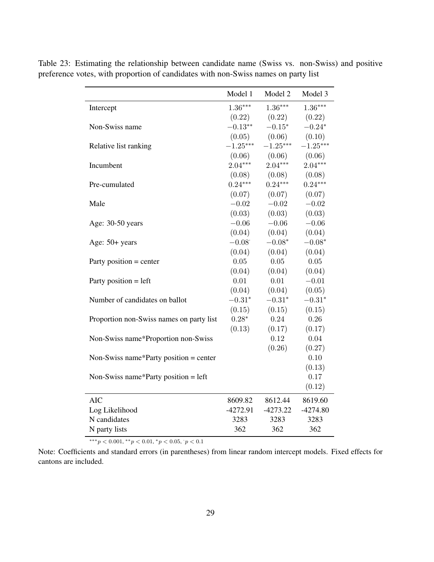|                                          | Model 1    | Model 2    | Model 3    |
|------------------------------------------|------------|------------|------------|
| Intercept                                | $1.36***$  | $1.36***$  | $1.36***$  |
|                                          | (0.22)     | (0.22)     | (0.22)     |
| Non-Swiss name                           | $-0.13**$  | $-0.15*$   | $-0.24*$   |
|                                          | (0.05)     | (0.06)     | (0.10)     |
| Relative list ranking                    | $-1.25***$ | $-1.25***$ | $-1.25***$ |
|                                          | (0.06)     | (0.06)     | (0.06)     |
| Incumbent                                | $2.04***$  | $2.04***$  | $2.04***$  |
|                                          | (0.08)     | (0.08)     | (0.08)     |
| Pre-cumulated                            | $0.24***$  | $0.24***$  | $0.24***$  |
|                                          | (0.07)     | (0.07)     | (0.07)     |
| Male                                     | $-0.02$    | $-0.02$    | $-0.02$    |
|                                          | (0.03)     | (0.03)     | (0.03)     |
| Age: 30-50 years                         | $-0.06$    | $-0.06$    | $-0.06$    |
|                                          | (0.04)     | (0.04)     | (0.04)     |
| Age: 50+ years                           | $-0.08$    | $-0.08*$   | $-0.08*$   |
|                                          | (0.04)     | (0.04)     | (0.04)     |
| Party position $=$ center                | 0.05       | 0.05       | 0.05       |
|                                          | (0.04)     | (0.04)     | (0.04)     |
| Party position $=$ left                  | 0.01       | 0.01       | $-0.01$    |
|                                          | (0.04)     | (0.04)     | (0.05)     |
| Number of candidates on ballot           | $-0.31*$   | $-0.31*$   | $-0.31*$   |
|                                          | (0.15)     | (0.15)     | (0.15)     |
| Proportion non-Swiss names on party list | $0.28*$    | 0.24       | 0.26       |
|                                          | (0.13)     | (0.17)     | (0.17)     |
| Non-Swiss name*Proportion non-Swiss      |            | 0.12       | 0.04       |
|                                          |            | (0.26)     | (0.27)     |
| Non-Swiss name*Party position = center   |            |            | 0.10       |
|                                          |            |            | (0.13)     |
| Non-Swiss name*Party position = $left$   |            |            | 0.17       |
|                                          |            |            | (0.12)     |
| <b>AIC</b>                               | 8609.82    | 8612.44    | 8619.60    |
| Log Likelihood                           | $-4272.91$ | $-4273.22$ | $-4274.80$ |
| N candidates                             | 3283       | 3283       | 3283       |
| N party lists                            | 362        | 362        | 362        |

Table 23: Estimating the relationship between candidate name (Swiss vs. non-Swiss) and positive preference votes, with proportion of candidates with non-Swiss names on party list

\*\*\* $p < 0.001$ , \*\* $p < 0.01$ , \* $p < 0.05$ ,  $p < 0.1$ 

Note: Coefficients and standard errors (in parentheses) from linear random intercept models. Fixed effects for cantons are included.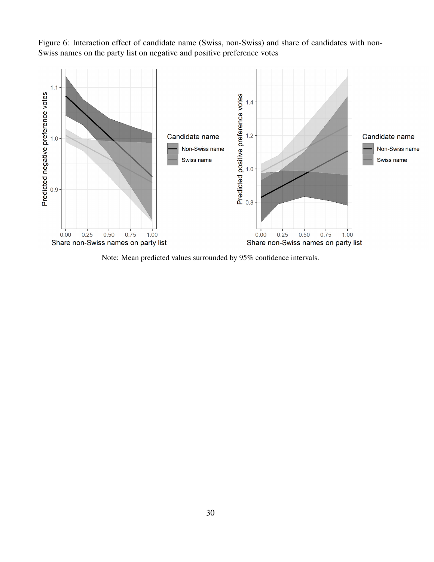Figure 6: Interaction effect of candidate name (Swiss, non-Swiss) and share of candidates with non-Swiss names on the party list on negative and positive preference votes



Note: Mean predicted values surrounded by 95% confidence intervals.